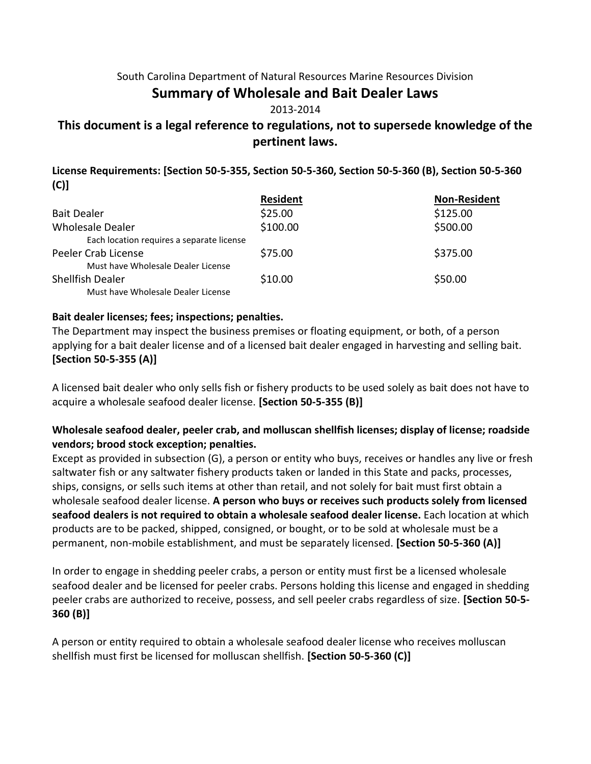#### South Carolina Department of Natural Resources Marine Resources Division

# **Summary of Wholesale and Bait Dealer Laws**

#### 2013-2014

# **This document is a legal reference to regulations, not to supersede knowledge of the pertinent laws.**

**License Requirements: [Section 50-5-355, Section 50-5-360, Section 50-5-360 (B), Section 50-5-360 (C)]**

|                                           | <b>Resident</b> | <b>Non-Resident</b> |
|-------------------------------------------|-----------------|---------------------|
| <b>Bait Dealer</b>                        | \$25.00         | \$125.00            |
| Wholesale Dealer                          | \$100.00        | \$500.00            |
| Each location requires a separate license |                 |                     |
| Peeler Crab License                       | \$75.00         | \$375.00            |
| Must have Wholesale Dealer License        |                 |                     |
| Shellfish Dealer                          | \$10.00         | \$50.00             |
| Must have Wholesale Dealer License        |                 |                     |

#### **Bait dealer licenses; fees; inspections; penalties.**

The Department may inspect the business premises or floating equipment, or both, of a person applying for a bait dealer license and of a licensed bait dealer engaged in harvesting and selling bait. **[Section 50-5-355 (A)]**

A licensed bait dealer who only sells fish or fishery products to be used solely as bait does not have to acquire a wholesale seafood dealer license. **[Section 50-5-355 (B)]**

#### **Wholesale seafood dealer, peeler crab, and molluscan shellfish licenses; display of license; roadside vendors; brood stock exception; penalties.**

Except as provided in subsection (G), a person or entity who buys, receives or handles any live or fresh saltwater fish or any saltwater fishery products taken or landed in this State and packs, processes, ships, consigns, or sells such items at other than retail, and not solely for bait must first obtain a wholesale seafood dealer license. **A person who buys or receives such products solely from licensed seafood dealers is not required to obtain a wholesale seafood dealer license.** Each location at which products are to be packed, shipped, consigned, or bought, or to be sold at wholesale must be a permanent, non-mobile establishment, and must be separately licensed. **[Section 50-5-360 (A)]** 

In order to engage in shedding peeler crabs, a person or entity must first be a licensed wholesale seafood dealer and be licensed for peeler crabs. Persons holding this license and engaged in shedding peeler crabs are authorized to receive, possess, and sell peeler crabs regardless of size. **[Section 50-5- 360 (B)]** 

A person or entity required to obtain a wholesale seafood dealer license who receives molluscan shellfish must first be licensed for molluscan shellfish. **[Section 50-5-360 (C)]**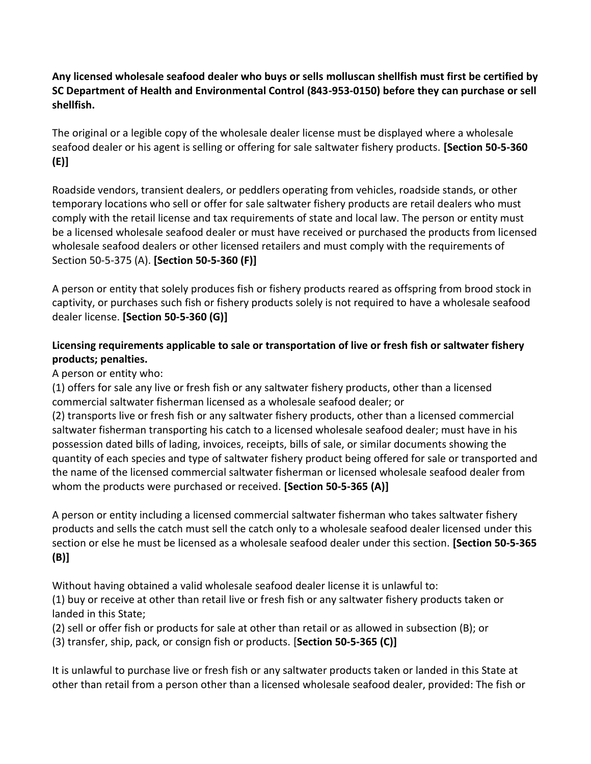### **Any licensed wholesale seafood dealer who buys or sells molluscan shellfish must first be certified by SC Department of Health and Environmental Control (843-953-0150) before they can purchase or sell shellfish.**

The original or a legible copy of the wholesale dealer license must be displayed where a wholesale seafood dealer or his agent is selling or offering for sale saltwater fishery products. **[Section 50-5-360 (E)]** 

Roadside vendors, transient dealers, or peddlers operating from vehicles, roadside stands, or other temporary locations who sell or offer for sale saltwater fishery products are retail dealers who must comply with the retail license and tax requirements of state and local law. The person or entity must be a licensed wholesale seafood dealer or must have received or purchased the products from licensed wholesale seafood dealers or other licensed retailers and must comply with the requirements of Section 50-5-375 (A). **[Section 50-5-360 (F)]** 

A person or entity that solely produces fish or fishery products reared as offspring from brood stock in captivity, or purchases such fish or fishery products solely is not required to have a wholesale seafood dealer license. **[Section 50-5-360 (G)]**

## **Licensing requirements applicable to sale or transportation of live or fresh fish or saltwater fishery products; penalties.**

A person or entity who:

(1) offers for sale any live or fresh fish or any saltwater fishery products, other than a licensed commercial saltwater fisherman licensed as a wholesale seafood dealer; or

(2) transports live or fresh fish or any saltwater fishery products, other than a licensed commercial saltwater fisherman transporting his catch to a licensed wholesale seafood dealer; must have in his possession dated bills of lading, invoices, receipts, bills of sale, or similar documents showing the quantity of each species and type of saltwater fishery product being offered for sale or transported and the name of the licensed commercial saltwater fisherman or licensed wholesale seafood dealer from whom the products were purchased or received. **[Section 50-5-365 (A)]**

A person or entity including a licensed commercial saltwater fisherman who takes saltwater fishery products and sells the catch must sell the catch only to a wholesale seafood dealer licensed under this section or else he must be licensed as a wholesale seafood dealer under this section. **[Section 50-5-365 (B)]**

Without having obtained a valid wholesale seafood dealer license it is unlawful to: (1) buy or receive at other than retail live or fresh fish or any saltwater fishery products taken or landed in this State;

(2) sell or offer fish or products for sale at other than retail or as allowed in subsection (B); or

(3) transfer, ship, pack, or consign fish or products. [**Section 50-5-365 (C)]**

It is unlawful to purchase live or fresh fish or any saltwater products taken or landed in this State at other than retail from a person other than a licensed wholesale seafood dealer, provided: The fish or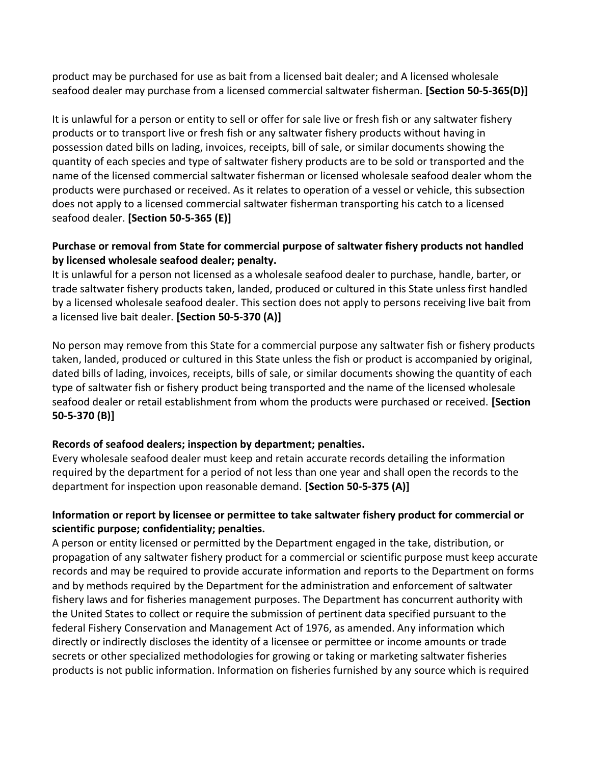product may be purchased for use as bait from a licensed bait dealer; and A licensed wholesale seafood dealer may purchase from a licensed commercial saltwater fisherman. **[Section 50-5-365(D)]** 

It is unlawful for a person or entity to sell or offer for sale live or fresh fish or any saltwater fishery products or to transport live or fresh fish or any saltwater fishery products without having in possession dated bills on lading, invoices, receipts, bill of sale, or similar documents showing the quantity of each species and type of saltwater fishery products are to be sold or transported and the name of the licensed commercial saltwater fisherman or licensed wholesale seafood dealer whom the products were purchased or received. As it relates to operation of a vessel or vehicle, this subsection does not apply to a licensed commercial saltwater fisherman transporting his catch to a licensed seafood dealer. **[Section 50-5-365 (E)]**

#### **Purchase or removal from State for commercial purpose of saltwater fishery products not handled by licensed wholesale seafood dealer; penalty.**

It is unlawful for a person not licensed as a wholesale seafood dealer to purchase, handle, barter, or trade saltwater fishery products taken, landed, produced or cultured in this State unless first handled by a licensed wholesale seafood dealer. This section does not apply to persons receiving live bait from a licensed live bait dealer. **[Section 50-5-370 (A)]** 

No person may remove from this State for a commercial purpose any saltwater fish or fishery products taken, landed, produced or cultured in this State unless the fish or product is accompanied by original, dated bills of lading, invoices, receipts, bills of sale, or similar documents showing the quantity of each type of saltwater fish or fishery product being transported and the name of the licensed wholesale seafood dealer or retail establishment from whom the products were purchased or received. **[Section 50-5-370 (B)]**

## **Records of seafood dealers; inspection by department; penalties.**

Every wholesale seafood dealer must keep and retain accurate records detailing the information required by the department for a period of not less than one year and shall open the records to the department for inspection upon reasonable demand. **[Section 50-5-375 (A)]**

### **Information or report by licensee or permittee to take saltwater fishery product for commercial or scientific purpose; confidentiality; penalties.**

A person or entity licensed or permitted by the Department engaged in the take, distribution, or propagation of any saltwater fishery product for a commercial or scientific purpose must keep accurate records and may be required to provide accurate information and reports to the Department on forms and by methods required by the Department for the administration and enforcement of saltwater fishery laws and for fisheries management purposes. The Department has concurrent authority with the United States to collect or require the submission of pertinent data specified pursuant to the federal Fishery Conservation and Management Act of 1976, as amended. Any information which directly or indirectly discloses the identity of a licensee or permittee or income amounts or trade secrets or other specialized methodologies for growing or taking or marketing saltwater fisheries products is not public information. Information on fisheries furnished by any source which is required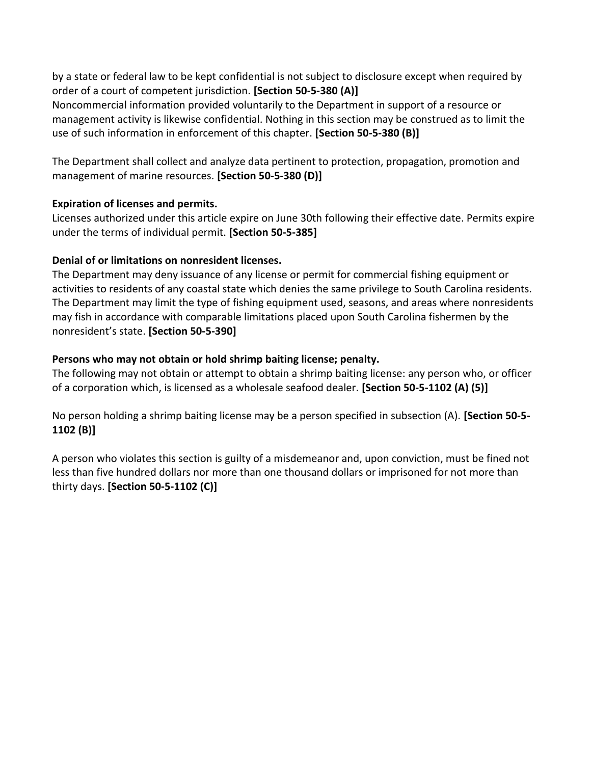by a state or federal law to be kept confidential is not subject to disclosure except when required by order of a court of competent jurisdiction. **[Section 50-5-380 (A)]** 

Noncommercial information provided voluntarily to the Department in support of a resource or management activity is likewise confidential. Nothing in this section may be construed as to limit the use of such information in enforcement of this chapter. **[Section 50-5-380 (B)]** 

The Department shall collect and analyze data pertinent to protection, propagation, promotion and management of marine resources. **[Section 50-5-380 (D)]**

### **Expiration of licenses and permits.**

Licenses authorized under this article expire on June 30th following their effective date. Permits expire under the terms of individual permit. **[Section 50-5-385]**

### **Denial of or limitations on nonresident licenses.**

The Department may deny issuance of any license or permit for commercial fishing equipment or activities to residents of any coastal state which denies the same privilege to South Carolina residents. The Department may limit the type of fishing equipment used, seasons, and areas where nonresidents may fish in accordance with comparable limitations placed upon South Carolina fishermen by the nonresident's state. **[Section 50-5-390]**

### **Persons who may not obtain or hold shrimp baiting license; penalty.**

The following may not obtain or attempt to obtain a shrimp baiting license: any person who, or officer of a corporation which, is licensed as a wholesale seafood dealer. **[Section 50-5-1102 (A) (5)]** 

No person holding a shrimp baiting license may be a person specified in subsection (A). **[Section 50-5- 1102 (B)]** 

A person who violates this section is guilty of a misdemeanor and, upon conviction, must be fined not less than five hundred dollars nor more than one thousand dollars or imprisoned for not more than thirty days. **[Section 50-5-1102 (C)]**